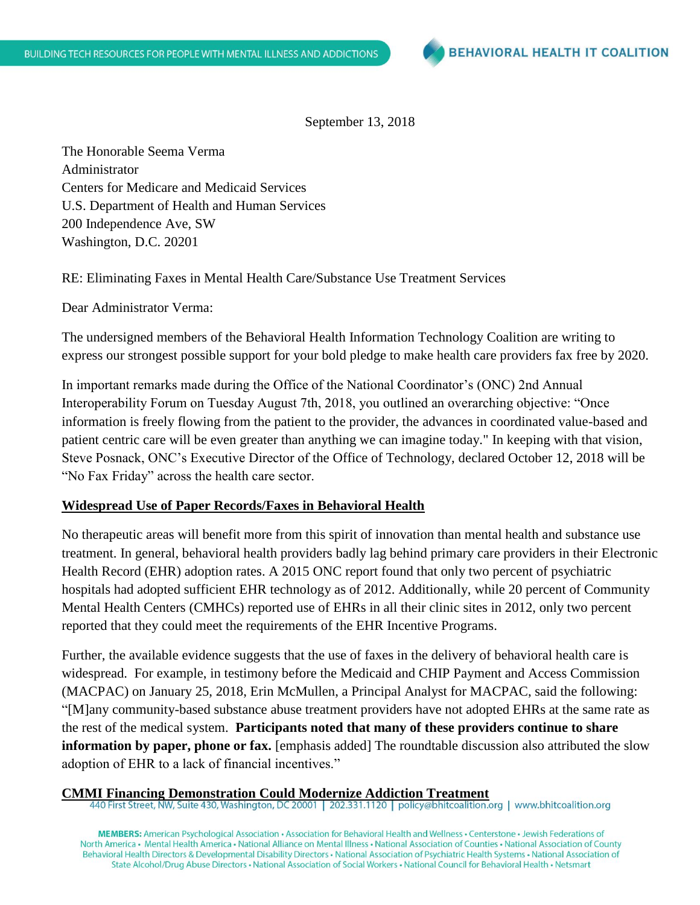September 13, 2018

The Honorable Seema Verma Administrator Centers for Medicare and Medicaid Services U.S. Department of Health and Human Services 200 Independence Ave, SW Washington, D.C. 20201

RE: Eliminating Faxes in Mental Health Care/Substance Use Treatment Services

Dear Administrator Verma:

The undersigned members of the Behavioral Health Information Technology Coalition are writing to express our strongest possible support for your bold pledge to make health care providers fax free by 2020.

In important remarks made during the Office of the National Coordinator's (ONC) 2nd Annual Interoperability Forum on Tuesday August 7th, 2018, you outlined an overarching objective: "Once information is freely flowing from the patient to the provider, the advances in coordinated value-based and patient centric care will be even greater than anything we can imagine today." In keeping with that vision, Steve Posnack, ONC's Executive Director of the Office of Technology, declared October 12, 2018 will be "No Fax Friday" across the health care sector.

## **Widespread Use of Paper Records/Faxes in Behavioral Health**

No therapeutic areas will benefit more from this spirit of innovation than mental health and substance use treatment. In general, behavioral health providers badly lag behind primary care providers in their Electronic Health Record (EHR) adoption rates. A 2015 ONC report found that only two percent of psychiatric hospitals had adopted sufficient EHR technology as of 2012. Additionally, while 20 percent of Community Mental Health Centers (CMHCs) reported use of EHRs in all their clinic sites in 2012, only two percent reported that they could meet the requirements of the EHR Incentive Programs.

Further, the available evidence suggests that the use of faxes in the delivery of behavioral health care is widespread. For example, in testimony before the Medicaid and CHIP Payment and Access Commission (MACPAC) on January 25, 2018, Erin McMullen, a Principal Analyst for MACPAC, said the following: "[M]any community-based substance abuse treatment providers have not adopted EHRs at the same rate as the rest of the medical system. **Participants noted that many of these providers continue to share information by paper, phone or fax.** [emphasis added] The roundtable discussion also attributed the slow adoption of EHR to a lack of financial incentives."

**CMMI Financing Demonstration Could Modernize Addiction Treatment**

MEMBERS: American Psychological Association · Association for Behavioral Health and Wellness · Centerstone · Jewish Federations of North America • Mental Health America • National Alliance on Mental Illness • National Association of Counties • National Association of County Behavioral Health Directors & Developmental Disability Directors · National Association of Psychiatric Health Systems · National Association of State Alcohol/Drug Abuse Directors • National Association of Social Workers • National Council for Behavioral Health • Netsmart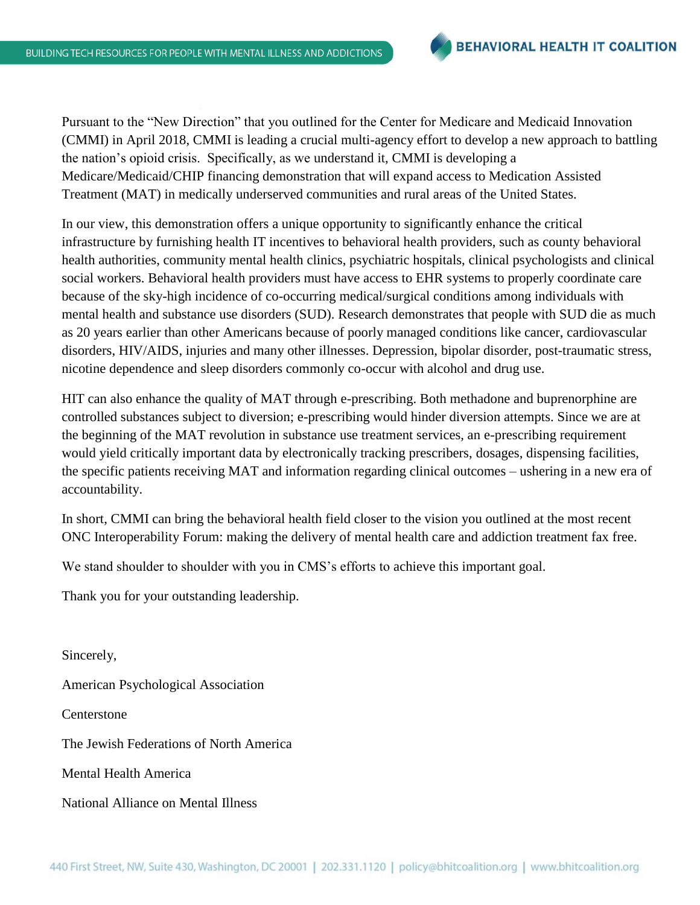Pursuant to the "New Direction" that you outlined for the Center for Medicare and Medicaid Innovation (CMMI) in April 2018, CMMI is leading a crucial multi-agency effort to develop a new approach to battling the nation's opioid crisis. Specifically, as we understand it, CMMI is developing a Medicare/Medicaid/CHIP financing demonstration that will expand access to Medication Assisted Treatment (MAT) in medically underserved communities and rural areas of the United States.

In our view, this demonstration offers a unique opportunity to significantly enhance the critical infrastructure by furnishing health IT incentives to behavioral health providers, such as county behavioral health authorities, community mental health clinics, psychiatric hospitals, clinical psychologists and clinical social workers. Behavioral health providers must have access to EHR systems to properly coordinate care because of the sky-high incidence of co-occurring medical/surgical conditions among individuals with mental health and substance use disorders (SUD). Research demonstrates that people with SUD die as much as 20 years earlier than other Americans because of poorly managed conditions like cancer, cardiovascular disorders, HIV/AIDS, injuries and many other illnesses. Depression, bipolar disorder, post-traumatic stress, nicotine dependence and sleep disorders commonly co-occur with alcohol and drug use.

HIT can also enhance the quality of MAT through e-prescribing. Both methadone and buprenorphine are controlled substances subject to diversion; e-prescribing would hinder diversion attempts. Since we are at the beginning of the MAT revolution in substance use treatment services, an e-prescribing requirement would yield critically important data by electronically tracking prescribers, dosages, dispensing facilities, the specific patients receiving MAT and information regarding clinical outcomes – ushering in a new era of accountability.

In short, CMMI can bring the behavioral health field closer to the vision you outlined at the most recent ONC Interoperability Forum: making the delivery of mental health care and addiction treatment fax free.

We stand shoulder to shoulder with you in CMS's efforts to achieve this important goal.

Thank you for your outstanding leadership.

Sincerely, American Psychological Association Centerstone The Jewish Federations of North America Mental Health America National Alliance on Mental Illness